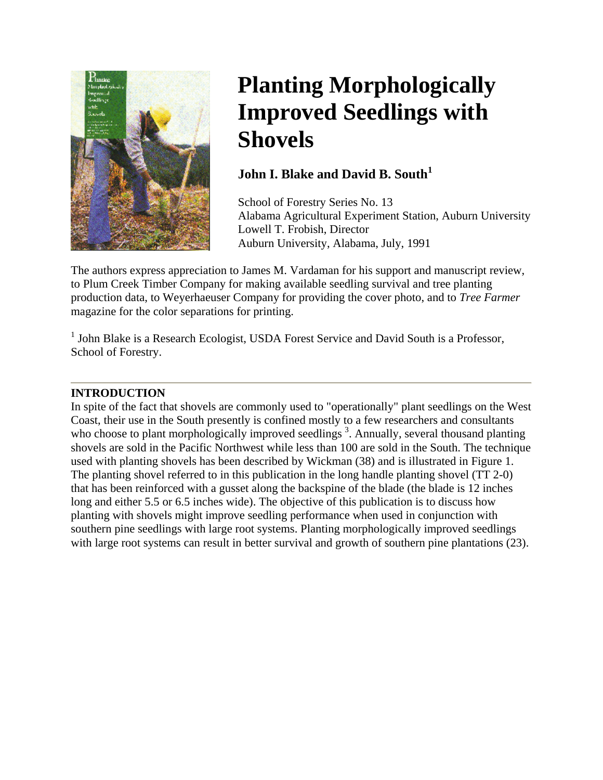

# **Planting Morphologically Improved Seedlings with Shovels**

## **John I. Blake and David B. South<sup>1</sup>**

School of Forestry Series No. 13 Alabama Agricultural Experiment Station, Auburn U niversity Lowell T. Fr obish, Director Auburn University, Alabama , July, 1991

The authors express appreciation to James M. Vardaman for his support and manuscript review, production data, to Weyerhaeuser Company for providing the cover photo, and to *Tree Farmer* to Plum Creek Timber Company for making available seedling survival and tree planting magazine for the color separations for printing.

 $1$  John Blake is a Research Ecologist, USDA Forest Service and David South is a Professor, School of Forestry.

### **INTRODUCTION**

In spite of the fact that shovels are commonly used to "operationally" plant seedlings on the West who choose to plant morphologically improved seedlings<sup>3</sup>. Annually, several thousand planting southern pine seedlings with large root systems. Planting morphologically improved seedlings with large root systems can result in better survival and growth of southern pine plantations (23). Coast, their use in the South presently is confined mostly to a few researchers and consultants shovels are sold in the Pacific Northwest while less than 100 are sold in the South. The technique used with planting shovels has been described by Wickman (38) and is illustrated in Figure 1. The planting shovel referred to in this publication in the long handle planting shovel (TT 2-0) that has been reinforced with a gusset along the backspine of the blade (the blade is 12 inches long and either 5.5 or 6.5 inches wide). The objective of this publication is to discuss how planting with shovels might improve seedling performance when used in conjunction with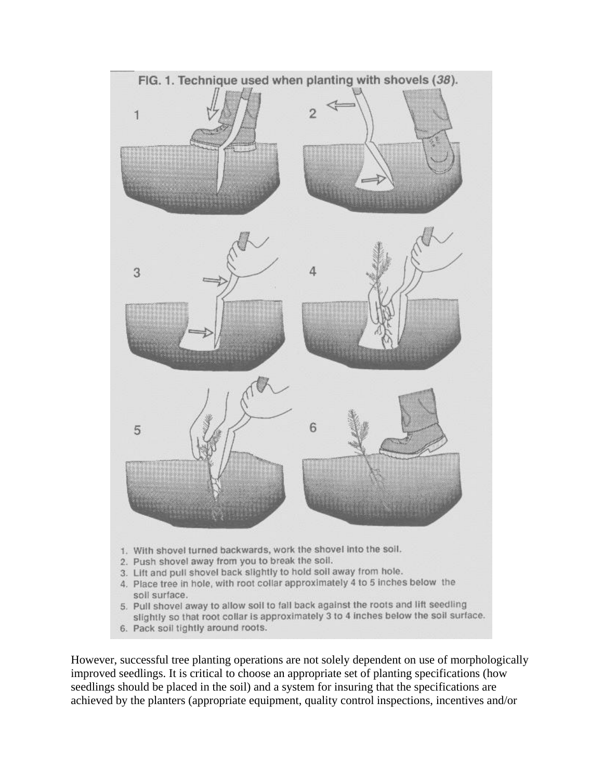

6. Pack soil tightly around roots.

However, successful tree planting operations are not solely dependent on use of morphologically improved seedlings. It is critical to choose an appropriate set of planting specifications (how seedlings should be placed in the soil) and a system for insuring that the specifications are achieved by the planters (appropriate equipment, quality control inspections, incentives and/or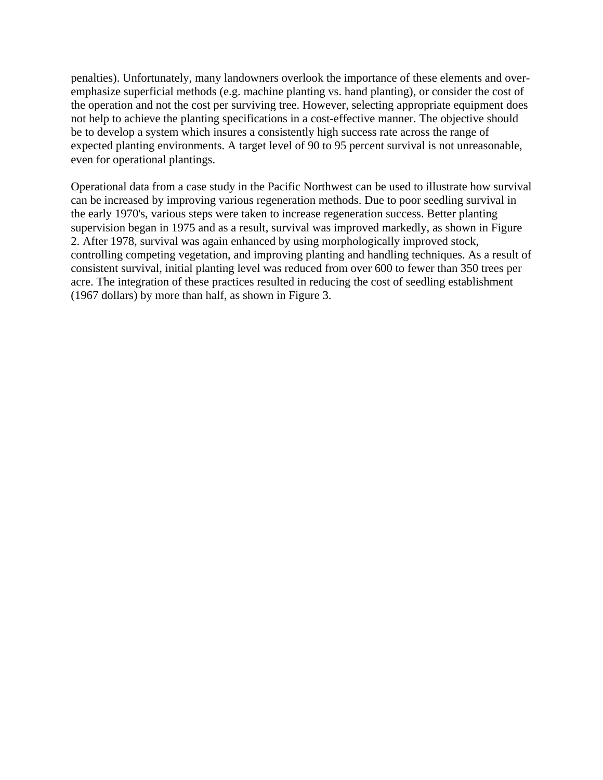penalties). Unfortunately, many landowners overlook the importance of these elements and overemphasize superficial methods (e.g. machine planting vs. hand planting), or consider the cost of the operation and not the cost per surviving tree. However, selecting appropriate equipment does not help to achieve the planting specifications in a cost-effective manner. The objective should be to develop a system which insures a consistently high success rate across the range of expected planting environments. A target level of 90 to 95 percent survival is not unreasonable, even for operational plantings.

Operational data from a case study in the Pacific Northwest can be used to illustrate how survival can be increased by improving various regeneration methods. Due to poor seedling survival in the early 1970's, various steps were taken to increase regeneration success. Better planting supervision began in 1975 and as a result, survival was improved markedly, as shown in Figure 2. After 1978, survival was again enhanced by using morphologically improved stock, controlling competing vegetation, and improving planting and handling techniques. As a result of consistent survival, initial planting level was reduced from over 600 to fewer than 350 trees per acre. The integration of these practices resulted in reducing the cost of seedling establishment (1967 dollars) by more than half, as shown in Figure 3.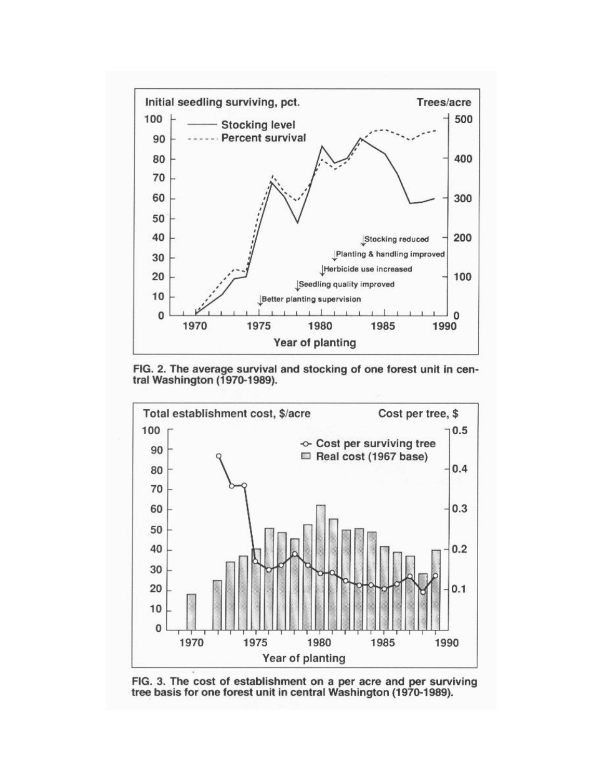

FIG. 2. The average survival and stocking of one forest unit in central Washington (1970-1989).



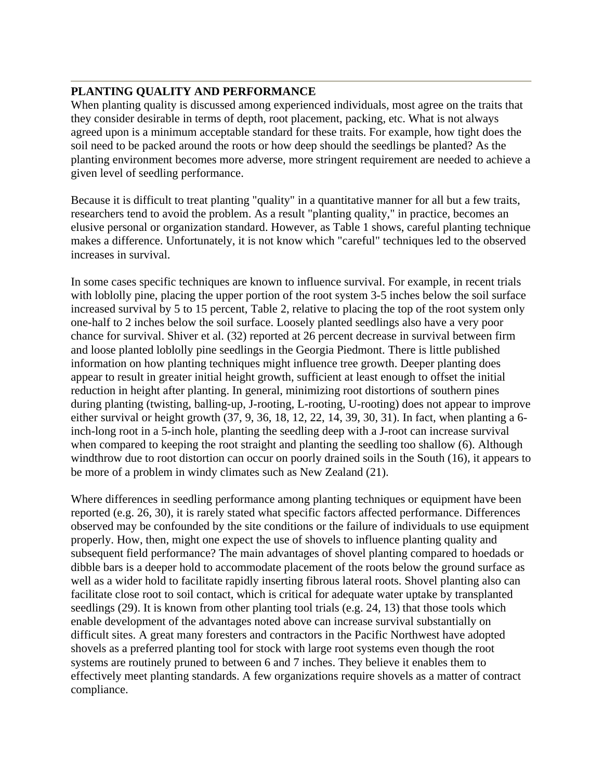#### **PLANTING QUALITY AND PERFORMANCE**

When planting quality is discussed among experienced individuals, most agree on the traits that they consider desirable in terms of depth, root placement, packing, etc. What is not always agreed upon is a minimum acceptable standard for these traits. For example, how tight does the soil need to be packed around the roots or how deep should the seedlings be planted? As the planting environment becomes more adverse, more stringent requirement are needed to achieve a given level of seedling performance.

Because it is difficult to treat planting "quality" in a quantitative manner for all but a few traits, researchers tend to avoid the problem. As a result "planting quality," in practice, becomes an elusive personal or organization standard. However, as Table 1 shows, careful planting technique makes a difference. Unfortunately, it is not know which "careful" techniques led to the observed increases in survival.

In some cases specific techniques are known to influence survival. For example, in recent trials with loblolly pine, placing the upper portion of the root system 3-5 inches below the soil surface increased survival by 5 to 15 percent, Table 2, relative to placing the top of the root system only one-half to 2 inches below the soil surface. Loosely planted seedlings also have a very poor chance for survival. Shiver et al. (32) reported at 26 percent decrease in survival between firm and loose planted loblolly pine seedlings in the Georgia Piedmont. There is little published information on how planting techniques might influence tree growth. Deeper planting does appear to result in greater initial height growth, sufficient at least enough to offset the initial reduction in height after planting. In general, minimizing root distortions of southern pines during planting (twisting, balling-up, J-rooting, L-rooting, U-rooting) does not appear to improve either survival or height growth (37, 9, 36, 18, 12, 22, 14, 39, 30, 31). In fact, when planting a 6 inch-long root in a 5-inch hole, planting the seedling deep with a J-root can increase survival when compared to keeping the root straight and planting the seedling too shallow (6). Although windthrow due to root distortion can occur on poorly drained soils in the South (16), it appears to be more of a problem in windy climates such as New Zealand (21).

Where differences in seedling performance among planting techniques or equipment have been reported (e.g. 26, 30), it is rarely stated what specific factors affected performance. Differences observed may be confounded by the site conditions or the failure of individuals to use equipment properly. How, then, might one expect the use of shovels to influence planting quality and subsequent field performance? The main advantages of shovel planting compared to hoedads or dibble bars is a deeper hold to accommodate placement of the roots below the ground surface as well as a wider hold to facilitate rapidly inserting fibrous lateral roots. Shovel planting also can facilitate close root to soil contact, which is critical for adequate water uptake by transplanted seedlings (29). It is known from other planting tool trials (e.g. 24, 13) that those tools which enable development of the advantages noted above can increase survival substantially on difficult sites. A great many foresters and contractors in the Pacific Northwest have adopted shovels as a preferred planting tool for stock with large root systems even though the root systems are routinely pruned to between 6 and 7 inches. They believe it enables them to effectively meet planting standards. A few organizations require shovels as a matter of contract compliance.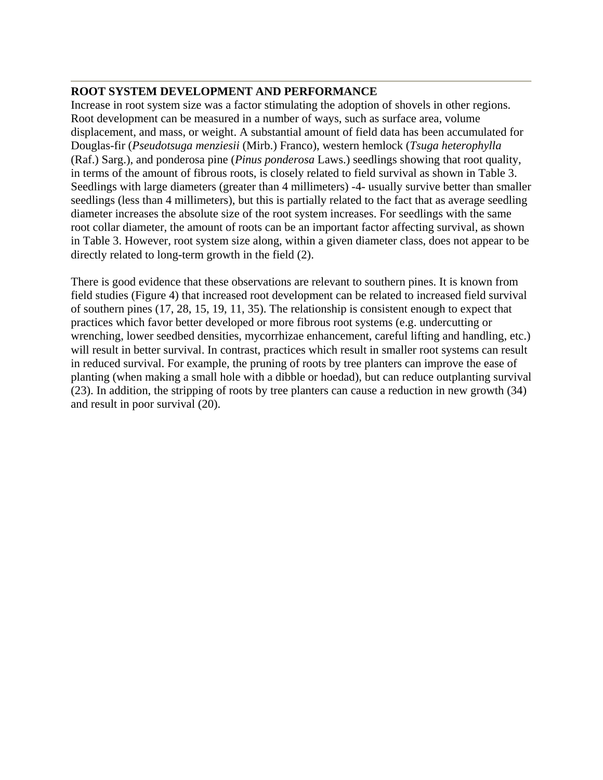### **ROOT SYSTEM DEVELOPMENT AND PERFORMANCE**

Increase in root system size was a factor stimulating the adoption of shovels in other regions. Root development can be measured in a number of ways, such as surface area, volume displacement, and mass, or weight. A substantial amount of field data has been accumulated for Douglas-fir (*Pseudotsuga menziesii* (Mirb.) Franco), western hemlock (*Tsuga heterophylla* (Raf.) Sarg.), and ponderosa pine (*Pinus ponderosa* Laws.) seedlings showing that root quality, in terms of the amount of fibrous roots, is closely related to field survival as shown in Table 3. Seedlings with large diameters (greater than 4 millimeters) -4- usually survive better than smaller seedlings (less than 4 millimeters), but this is partially related to the fact that as average seedling diameter increases the absolute size of the root system increases. For seedlings with the same root collar diameter, the amount of roots can be an important factor affecting survival, as shown in Table 3. However, root system size along, within a given diameter class, does not appear to be directly related to long-term growth in the field (2).

There is good evidence that these observations are relevant to southern pines. It is known from field studies (Figure 4) that increased root development can be related to increased field survival of southern pines (17, 28, 15, 19, 11, 35). The relationship is consistent enough to expect that practices which favor better developed or more fibrous root systems (e.g. undercutting or wrenching, lower seedbed densities, mycorrhizae enhancement, careful lifting and handling, etc.) will result in better survival. In contrast, practices which result in smaller root systems can result in reduced survival. For example, the pruning of roots by tree planters can improve the ease of planting (when making a small hole with a dibble or hoedad), but can reduce outplanting survival (23). In addition, the stripping of roots by tree planters can cause a reduction in new growth (34) and result in poor survival (20).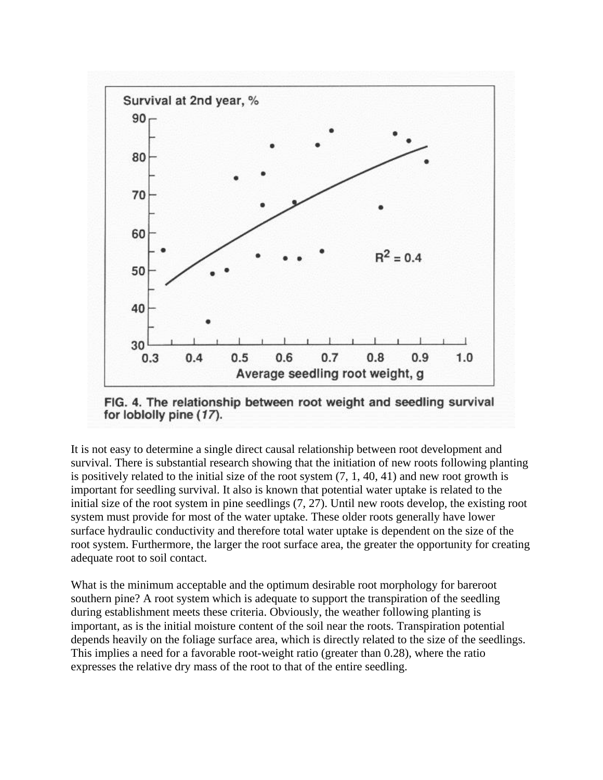

FIG. 4. The relationship between root weight and seedling survival for loblolly pine (17).

It is not easy to determine a single direct causal relationship between root development and survival. There is substantial research showing that the initiation of new roots following planting is positively related to the initial size of the root system (7, 1, 40, 41) and new root growth is important for seedling survival. It also is known that potential water uptake is related to the initial size of the root system in pine seedlings (7, 27). Until new roots develop, the existing root system must provide for most of the water uptake. These older roots generally have lower surface hydraulic conductivity and therefore total water uptake is dependent on the size of the root system. Furthermore, the larger the root surface area, the greater the opportunity for creating adequate root to soil contact.

What is the minimum acceptable and the optimum desirable root morphology for bareroot southern pine? A root system which is adequate to support the transpiration of the seedling during establishment meets these criteria. Obviously, the weather following planting is important, as is the initial moisture content of the soil near the roots. Transpiration potential depends heavily on the foliage surface area, which is directly related to the size of the seedlings. This implies a need for a favorable root-weight ratio (greater than 0.28), where the ratio expresses the relative dry mass of the root to that of the entire seedling.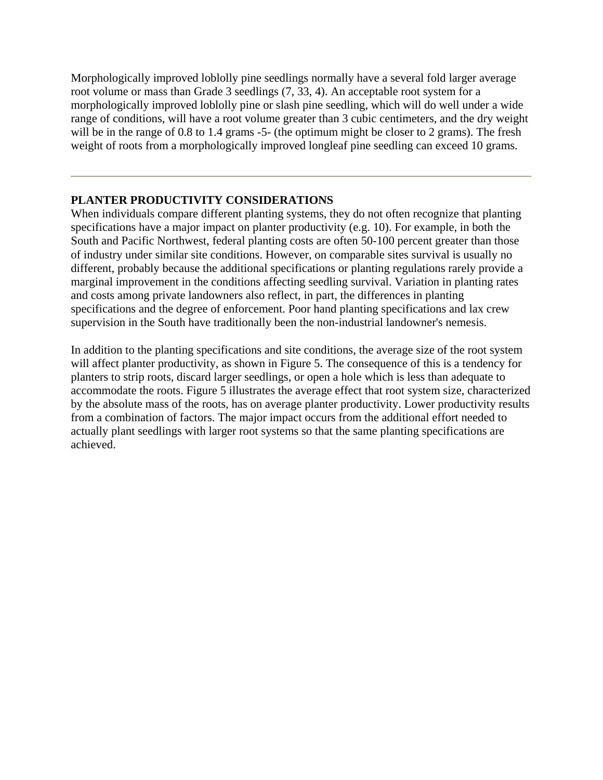Morphologically improved loblolly pine seedlings normally have a several fold larger average root volume or mass than Grade 3 seedlings (7, 33, 4). An acceptable root system for a morphologically improved loblolly pine or slash pine seedling, which will do well under a wide range of conditions, will have a root volume greater than 3 cubic centimeters, and the dry weight will be in the range of 0.8 to 1.4 grams -5- (the optimum might be closer to 2 grams). The fresh weight of roots from a morphologically improved longleaf pine seedling can exceed 10 grams.

#### **PLANTER PRODUCTIVITY CONSIDERATIONS**

When individuals compare different planting systems, they do not often recognize that planting specifications have a major impact on planter productivity (e.g. 10). For example, in both the South and Pacific Northwest, federal planting costs are often 50-100 percent greater than those of industry under similar site conditions. However, on comparable sites survival is usually no different, probably because the additional specifications or planting regulations rarely provide a marginal improvement in the conditions affecting seedling survival. Variation in planting rates and costs among private landowners also reflect, in part, the differences in planting specifications and the degree of enforcement. Poor hand planting specifications and lax crew supervision in the South have traditionally been the non-industrial landowner's nemesis.

In addition to the planting specifications and site conditions, the average size of the root system will affect planter productivity, as shown in Figure 5. The consequence of this is a tendency for planters to strip roots, discard larger seedlings, or open a hole which is less than adequate to accommodate the roots. Figure 5 illustrates the average effect that root system size, characterized by the absolute mass of the roots, has on average planter productivity. Lower productivity results from a combination of factors. The major impact occurs from the additional effort needed to actually plant seedlings with larger root systems so that the same planting specifications are achieved.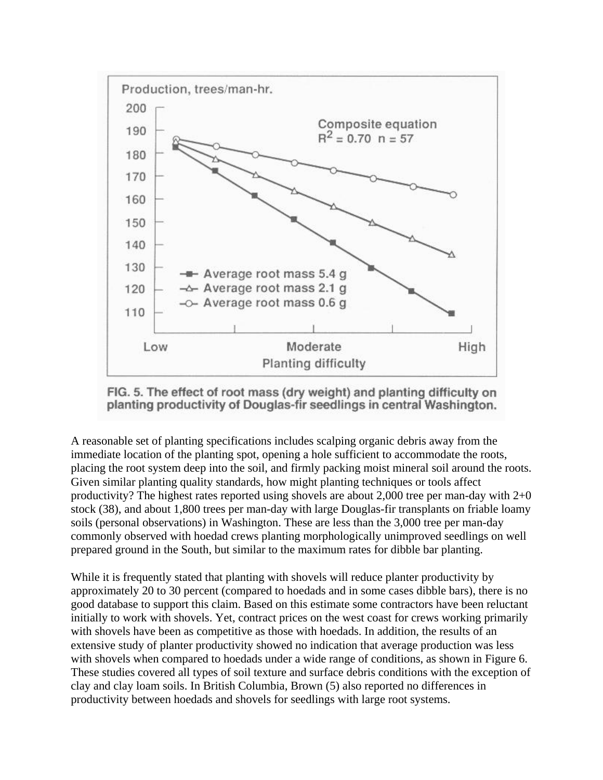

FIG. 5. The effect of root mass (dry weight) and planting difficulty on planting productivity of Douglas-fir seedlings in central Washington.

A reasonable set of planting specifications includes scalping organic debris away from the immediate location of the planting spot, opening a hole sufficient to accommodate the roots, placing the root system deep into the soil, and firmly packing moist mineral soil around the roots. Given similar planting quality standards, how might planting techniques or tools affect productivity? The highest rates reported using shovels are about 2,000 tree per man-day with  $2+0$ stock (38), and about 1,800 trees per man-day with large Douglas-fir transplants on friable loamy soils (personal observations) in Washington. These are less than the 3,000 tree per man-day commonly observed with hoedad crews planting morphologically unimproved seedlings on well prepared ground in the South, but similar to the maximum rates for dibble bar planting.

While it is frequently stated that planting with shovels will reduce planter productivity by approximately 20 to 30 percent (compared to hoedads and in some cases dibble bars), there is no good database to support this claim. Based on this estimate some contractors have been reluctant initially to work with shovels. Yet, contract prices on the west coast for crews working primarily with shovels have been as competitive as those with hoedads. In addition, the results of an extensive study of planter productivity showed no indication that average production was less with shovels when compared to hoedads under a wide range of conditions, as shown in Figure 6. These studies covered all types of soil texture and surface debris conditions with the exception of clay and clay loam soils. In British Columbia, Brown (5) also reported no differences in productivity between hoedads and shovels for seedlings with large root systems.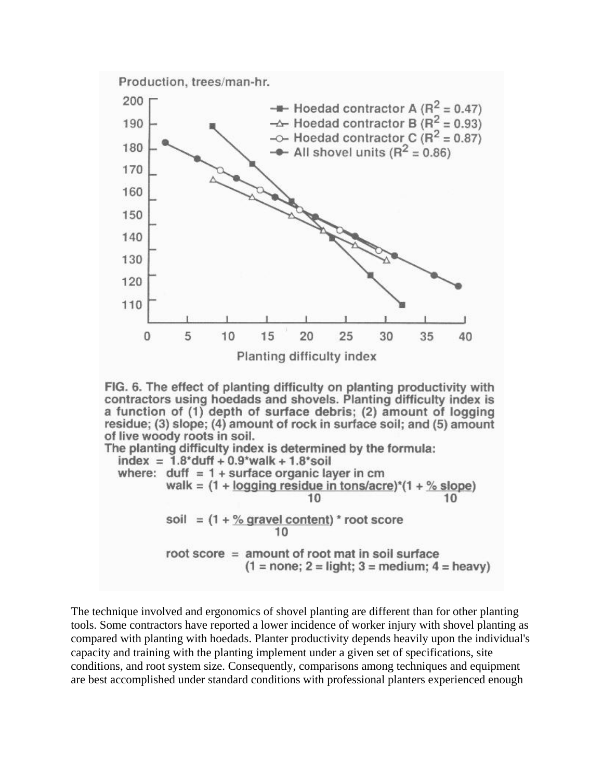



The planting difficulty index is determined by the formula:  $index = 1.8^{*}duff + 0.9^{*}walk + 1.8^{*}solid$ where:  $duff = 1 + surface organic layer in cm$ walk =  $(1 + \log \frac{1}{2})$  residue in tons/acre)<sup>\*</sup> $(1 + \frac{9}{2})$  slope) 10 10 soil =  $(1 + %$  gravel content) \* root score  $10$ root score = amount of root mat in soil surface  $(1 = none; 2 = light; 3 = medium; 4 = heavy)$ 

The technique involved and ergonomics of shovel planting are different than for other planting tools. Some contractors have reported a lower incidence of worker injury with shovel planting as compared with planting with hoedads. Planter productivity depends heavily upon the individual's capacity and training with the planting implement under a given set of specifications, site conditions, and root system size. Consequently, comparisons among techniques and equipment are best accomplished under standard conditions with professional planters experienced enough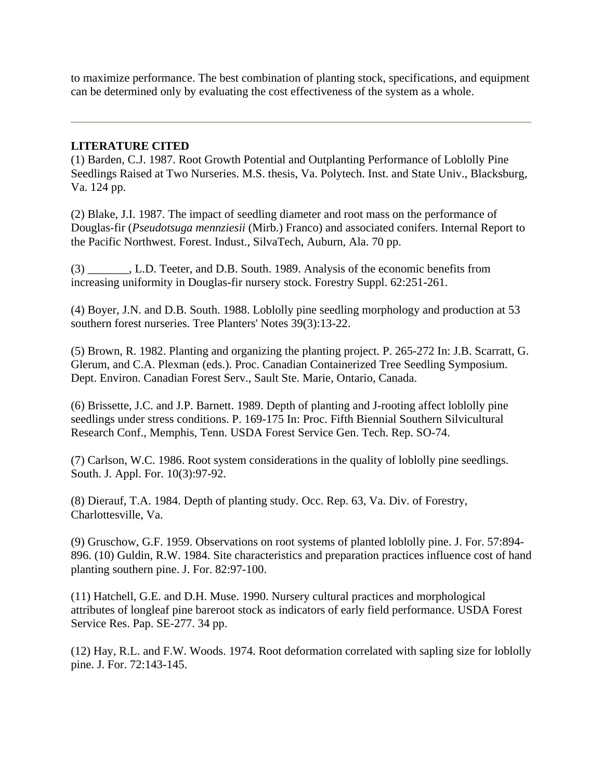to maximize performance. The best combination of planting stock, specifications, and equipment can be determined only by evaluating the cost effectiveness of the system as a whole.

#### **LITERATURE CITED**

(1) Barden, C.J. 1987. Root Growth Potential and Outplanting Performance of Loblolly Pine Seedlings Raised at Two Nurseries. M.S. thesis, Va. Polytech. Inst. and State Univ., Blacksburg, Va. 124 pp.

(2) Blake, J.I. 1987. The impact of seedling diameter and root mass on the performance of Douglas-fir (*Pseudotsuga mennziesii* (Mirb.) Franco) and associated conifers. Internal Report to the Pacific Northwest. Forest. Indust., SilvaTech, Auburn, Ala. 70 pp.

(3) \_\_\_\_\_\_\_, L.D. Teeter, and D.B. South. 1989. Analysis of the economic benefits from increasing uniformity in Douglas-fir nursery stock. Forestry Suppl. 62:251-261.

(4) Boyer, J.N. and D.B. South. 1988. Loblolly pine seedling morphology and production at 53 southern forest nurseries. Tree Planters' Notes 39(3):13-22.

(5) Brown, R. 1982. Planting and organizing the planting project. P. 265-272 In: J.B. Scarratt, G. Glerum, and C.A. Plexman (eds.). Proc. Canadian Containerized Tree Seedling Symposium. Dept. Environ. Canadian Forest Serv., Sault Ste. Marie, Ontario, Canada.

(6) Brissette, J.C. and J.P. Barnett. 1989. Depth of planting and J-rooting affect loblolly pine seedlings under stress conditions. P. 169-175 In: Proc. Fifth Biennial Southern Silvicultural Research Conf., Memphis, Tenn. USDA Forest Service Gen. Tech. Rep. SO-74.

(7) Carlson, W.C. 1986. Root system considerations in the quality of loblolly pine seedlings. South. J. Appl. For. 10(3):97-92.

(8) Dierauf, T.A. 1984. Depth of planting study. Occ. Rep. 63, Va. Div. of Forestry, Charlottesville, Va.

(9) Gruschow, G.F. 1959. Observations on root systems of planted loblolly pine. J. For. 57:894- 896. (10) Guldin, R.W. 1984. Site characteristics and preparation practices influence cost of hand planting southern pine. J. For. 82:97-100.

(11) Hatchell, G.E. and D.H. Muse. 1990. Nursery cultural practices and morphological attributes of longleaf pine bareroot stock as indicators of early field performance. USDA Forest Service Res. Pap. SE-277. 34 pp.

(12) Hay, R.L. and F.W. Woods. 1974. Root deformation correlated with sapling size for loblolly pine. J. For. 72:143-145.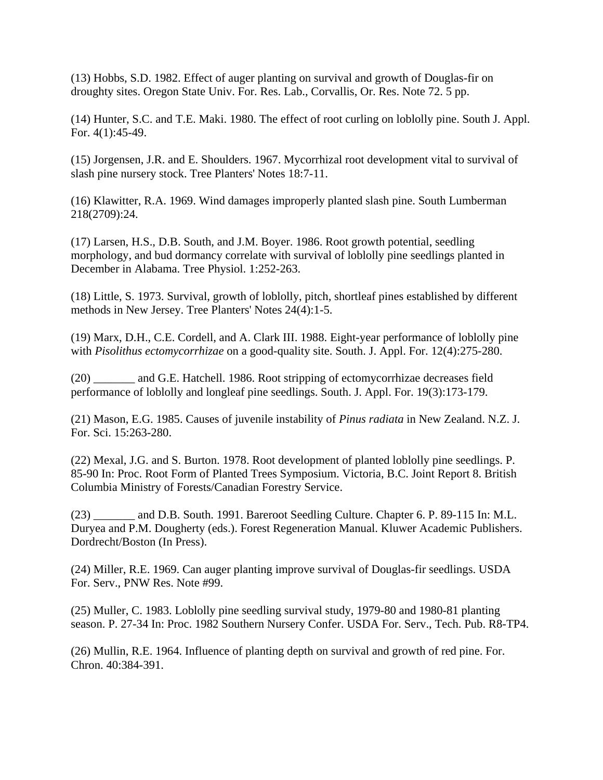(13) Hobbs, S.D. 1982. Effect of auger planting on survival and growth of Douglas-fir on droughty sites. Oregon State Univ. For. Res. Lab., Corvallis, Or. Res. Note 72. 5 pp.

(14) Hunter, S.C. and T.E. Maki. 1980. The effect of root curling on loblolly pine. South J. Appl. For. 4(1):45-49.

(15) Jorgensen, J.R. and E. Shoulders. 1967. Mycorrhizal root development vital to survival of slash pine nursery stock. Tree Planters' Notes 18:7-11.

(16) Klawitter, R.A. 1969. Wind damages improperly planted slash pine. South Lumberman 218(2709):24.

(17) Larsen, H.S., D.B. South, and J.M. Boyer. 1986. Root growth potential, seedling morphology, and bud dormancy correlate with survival of loblolly pine seedlings planted in December in Alabama. Tree Physiol. 1:252-263.

(18) Little, S. 1973. Survival, growth of loblolly, pitch, shortleaf pines established by different methods in New Jersey. Tree Planters' Notes 24(4):1-5.

(19) Marx, D.H., C.E. Cordell, and A. Clark III. 1988. Eight-year performance of loblolly pine with *Pisolithus ectomycorrhizae* on a good-quality site. South. J. Appl. For. 12(4):275-280.

(20) \_\_\_\_\_\_\_ and G.E. Hatchell. 1986. Root stripping of ectomycorrhizae decreases field performance of loblolly and longleaf pine seedlings. South. J. Appl. For. 19(3):173-179.

(21) Mason, E.G. 1985. Causes of juvenile instability of *Pinus radiata* in New Zealand. N.Z. J. For. Sci. 15:263-280.

(22) Mexal, J.G. and S. Burton. 1978. Root development of planted loblolly pine seedlings. P. 85-90 In: Proc. Root Form of Planted Trees Symposium. Victoria, B.C. Joint Report 8. British Columbia Ministry of Forests/Canadian Forestry Service.

(23) \_\_\_\_\_\_\_ and D.B. South. 1991. Bareroot Seedling Culture. Chapter 6. P. 89-115 In: M.L. Duryea and P.M. Dougherty (eds.). Forest Regeneration Manual. Kluwer Academic Publishers. Dordrecht/Boston (In Press).

(24) Miller, R.E. 1969. Can auger planting improve survival of Douglas-fir seedlings. USDA For. Serv., PNW Res. Note #99.

(25) Muller, C. 1983. Loblolly pine seedling survival study, 1979-80 and 1980-81 planting season. P. 27-34 In: Proc. 1982 Southern Nursery Confer. USDA For. Serv., Tech. Pub. R8-TP4.

(26) Mullin, R.E. 1964. Influence of planting depth on survival and growth of red pine. For. Chron. 40:384-391.